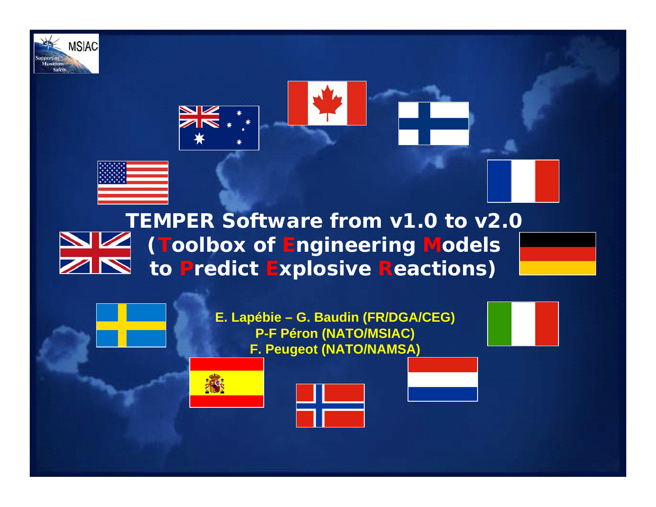





### **TEMPER Software from v1.0 to v2.0 ( Toolbox of Engineering Models to Predict Explosive Reactions)**

**E. Lapébie – G. Baudin (FR/DGA/CEG) P-F Péron (NATO/MSIAC) F. Peugeot (NATO/NAMSA)**



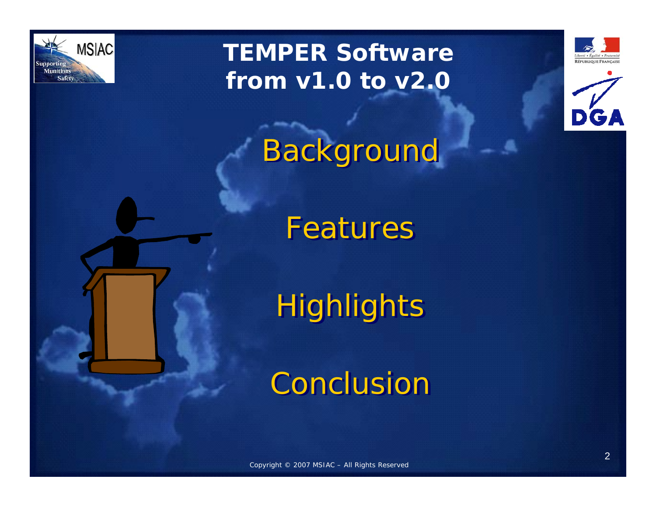

## **TEMPER Software from v1.0 to v2.0**





Background

Features

Highlights

Conclusion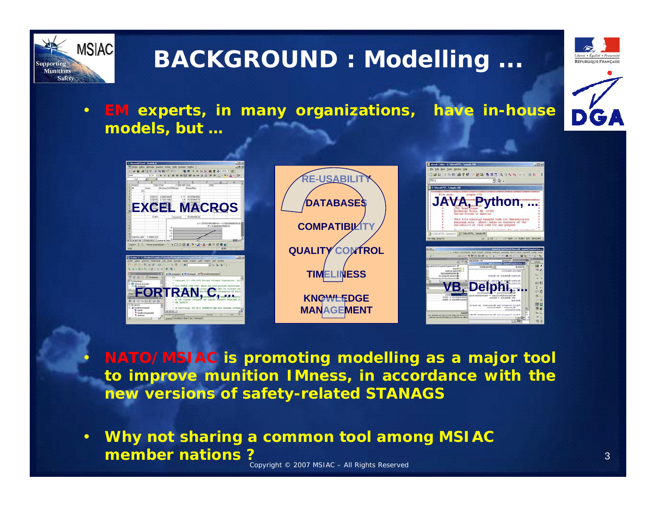

## **BACKGROUND : Modelling ...**



• **EM experts, in many organizations, have in-house models, but …**



**RE-USABILIT DATABASESCOMPATIBILITY QUALITY CONTROL TIMELINESS KNOWLEDGEMANAGEMENT**



- **NATO/MSIAC is promoting modelling as a major tool to improve munition IMness, in accordance with the new versions of safety-related STANAGS**
- Copyright © 2007 MSIAC All Rights Reserved • **Why not sharing a common tool among MSIAC member nations ?**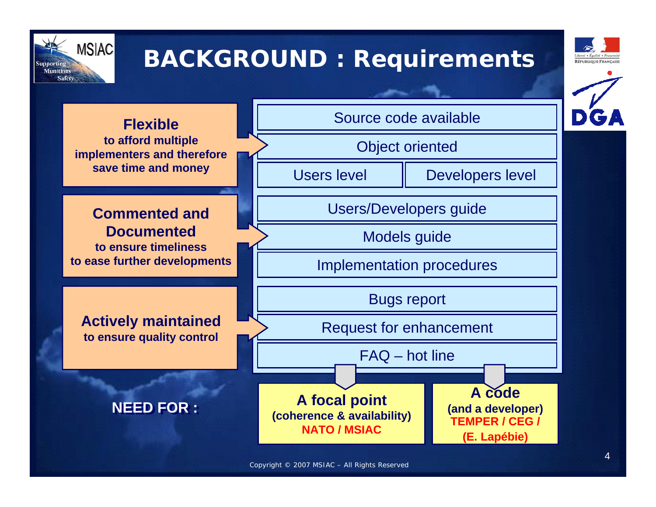

## **BACKGROUND : Requirements**



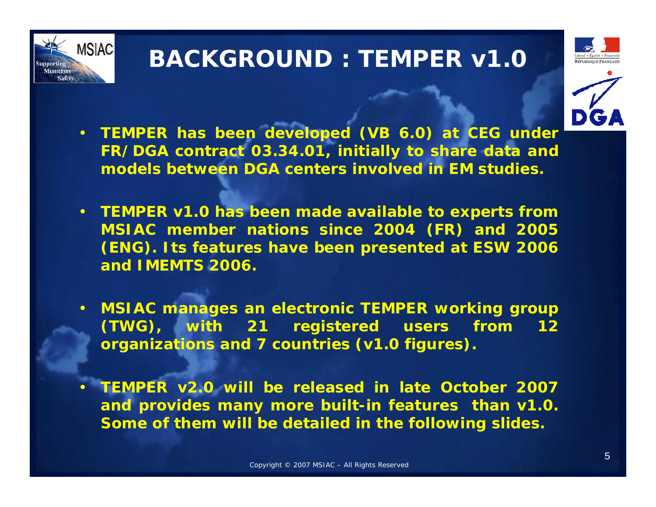

## **BACKGROUND : TEMPER v1.0**





- **TEMPER has been developed (VB 6.0) at CEG under FR/DGA contract 03.34.01, initially to share data and models between DGA centers involved in EM studies.**
- **TEMPER v1.0 has been made available to experts from MSIAC member nations since 2004 (FR) and 2005 (ENG). Its features have been presented at ESW 2006 and IMEMTS 2006.**
- **MSIAC manages an electronic TEMPER working group (TWG), with 21 registered users from 12 organizations and 7 countries (v1.0 figures).**
- **TEMPER v2.0 will be released in late October 2007 and provides many more built-in features than v1.0. Some of them will be detailed in the following slides.**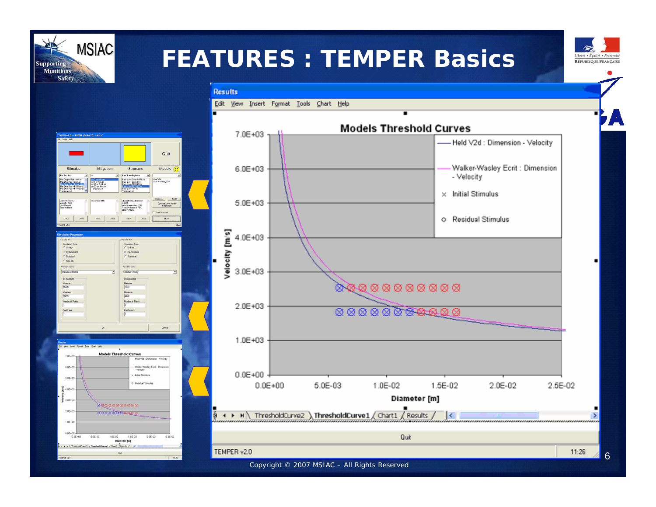## **FEATURES : TEMPER Basics**

**Results** 



 $\blacksquare$ 

**MSIAC Supporting Munitions Safety** 





6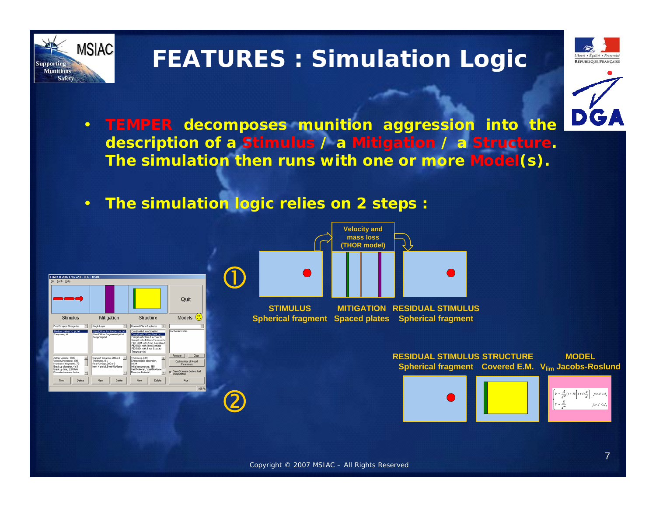

## **FEATURES : Simulation Logic**





- **TEMPER decomposes munition aggression into the description of a Stimulus / a Mitigation / a Structure. The simulation then runs with one or more Model(s).**
- **The simulation logic relies on 2 steps :**

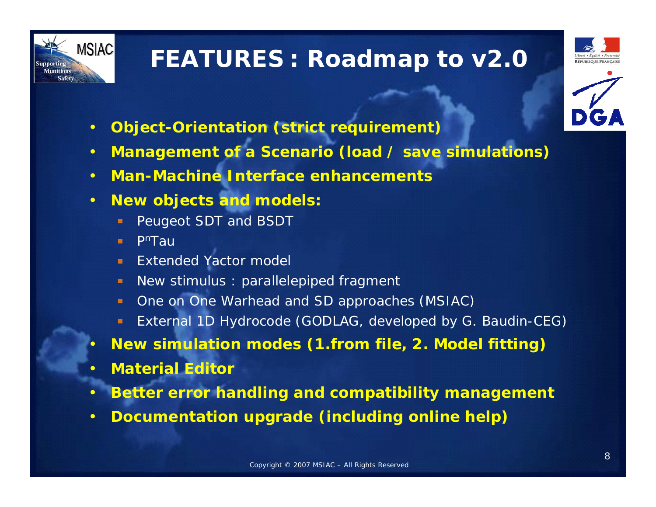

## **FEATURES : Roadmap to v2.0**





- **Object-Orientation (strict requirement)**
- **Management of a Scenario (load / save simulations)**
- **Man-Machine Interface enhancements**
- **New objects and models:**
	- Peugeot SDT and BSDT
	- **PnTau** m.
	- Extended Yactor model
	- New stimulus : parallelepiped fragment  $\blacksquare$
	- One on One Warhead and SD approaches (MSIAC)  $\blacksquare$
	- External 1D Hydrocode (GODLAG, developed by G. Baudin-CEG)  $\blacksquare$
- **New simulation modes (1.from file, 2. Model fitting)**
- **Material Editor**
- **Better error handling and compatibility management**
- **Documentation upgrade (including online help)**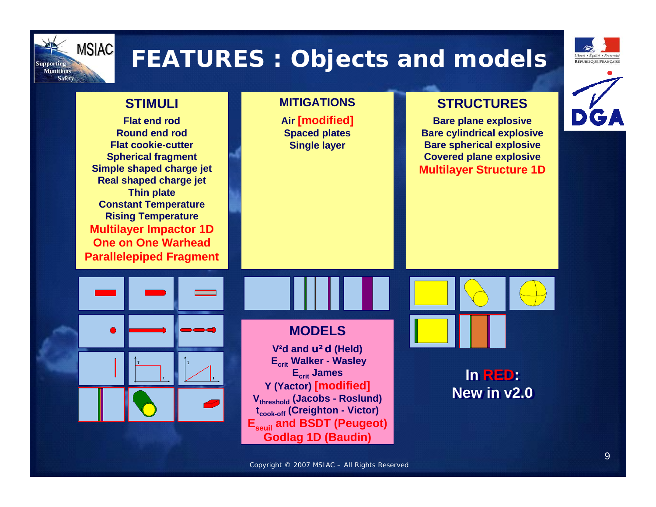

## **FEATURES : Objects and models**



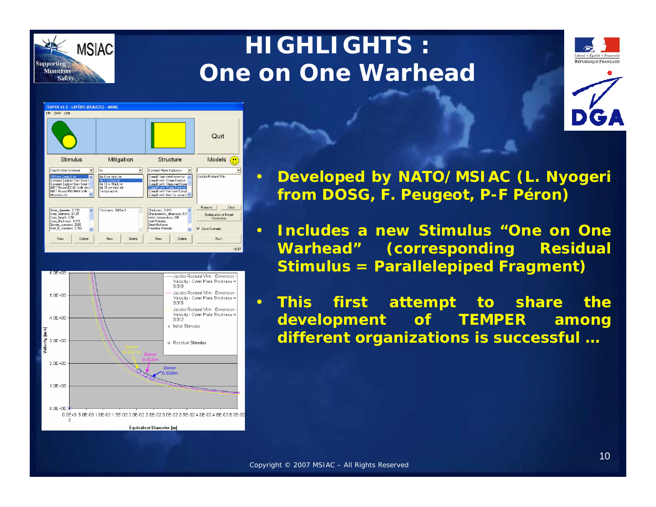

## **HIGHLIGHTS : One on One Warhead**







- **Developed by NATO/MSIAC (L. Nyogeri from DOSG, F. Peugeot, P-F Péron)**
- **Includes a new Stimulus "One on One Warhead" (corresponding Residual Stimulus = Parallelepiped Fragment)**
- **This first attempt to share the development of TEMPER among Densive Signitulity and Straight Successful …**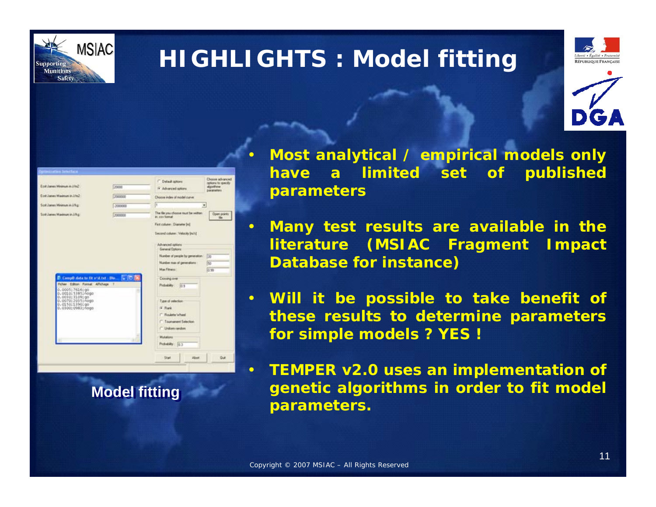

## **HIGHLIGHTS : Model fitting**







• **Most analytical / empirical models only have a limited set of published parameters**

• **Many test results are available in the literature (MSIAC Fragment Impact Database for instance)**

• **Will it be possible to take benefit of these results to determine parameters for simple models ? YES !**

• **TEMPER v2.0 uses an implementation of genetic algorithms in order to fit model parameters.**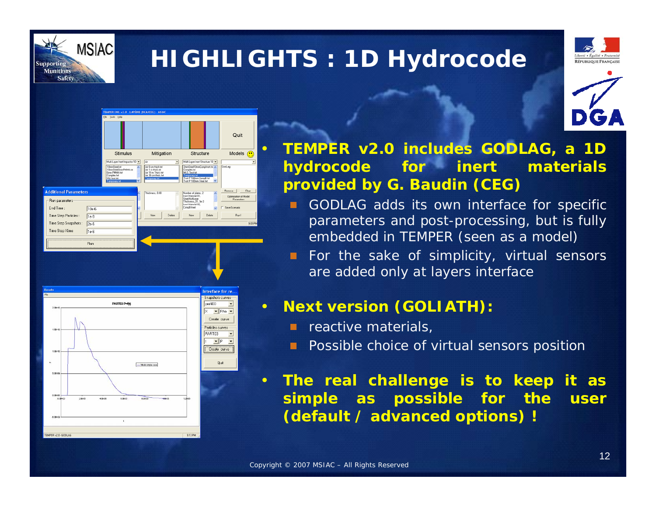

## **HIGHLIGHTS : 1D Hydrocode**







• **TEMPER v2.0 includes GODLAG, a 1D hydrocode for inert materials provided by G. Baudin (CEG)**

- GODLAG adds its own interface for specific parameters and post-processing, but is fully embedded in TEMPER (seen as a model)
- F For the sake of simplicity, virtual sensors are added only at layers interface

#### • **Next version (GOLIATH):**

- $\blacksquare$  reactive materials,
- **Proposible choice of virtual sensors position**
- **The real challenge is to keep it as simple as possible for the user (default / advanced options) !**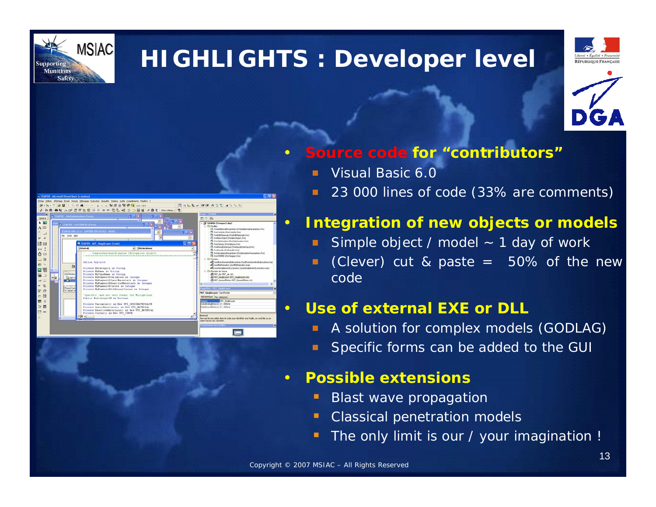

 $n<sub>1</sub>$ 2 画

## **HIGHLIGHTS : Developer level**





#### • **Source code for "contributors"**

- Visual Basic 6.0
- 23 000 lines of code (33% are comments)

#### • **Integration of new objects or models**

- Simple object / model  $\sim$  1 day of work
- (Clever) cut & paste  $=$  50% of the new  $\Box$ code

#### • **Use of external EXE or DLL**

- A solution for complex models (GODLAG)
- Specific forms can be added to the GUI

#### • **Possible extensions**

- τ Blast wave propagation
- Classical penetration models
- The only limit is our / your imagination !

 $\overline{\mathbf{m}}$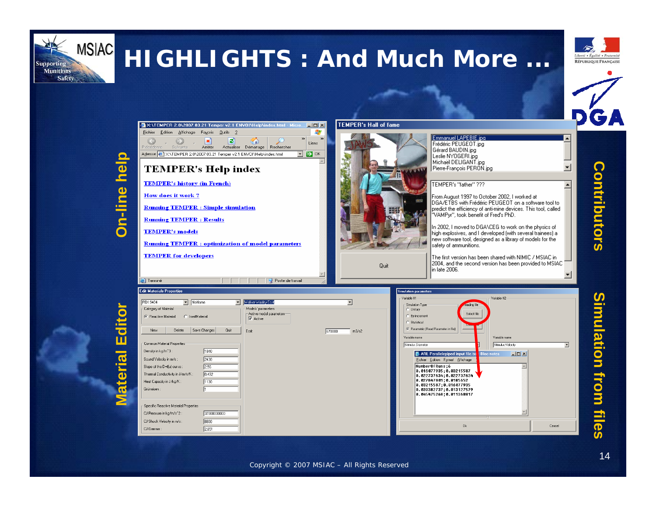

## **HIGHLIGHTS : And Much More ...**





**Material Editor**

aterial

Edit



## **Contributors** Contributors

# **Simulation from files**imulation from files

#### Copyright © 2007 MSIAC – All Rights Reserved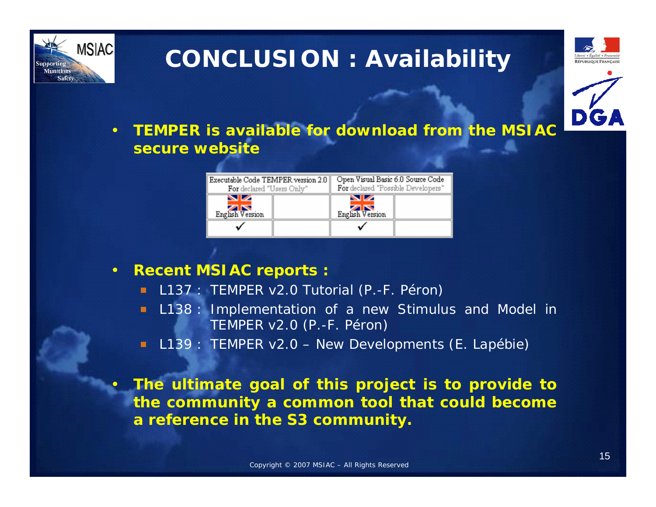

## **CONCLUSION : Availability**





• **TEMPER is available for download from the MSIAC secure website**

| Executable Code TEMPER version 2.0<br>For declared "Users Only" |  | Open Visual Basic 6.0 Source Code<br>For declared "Possible Developers" |  |
|-----------------------------------------------------------------|--|-------------------------------------------------------------------------|--|
| $\sim$<br>ZK<br>English Version                                 |  | $\blacksquare$<br>English Version                                       |  |
|                                                                 |  |                                                                         |  |

- **Recent MSIAC reports :**
	- L137 : TEMPER v2.0 Tutorial (P.-F. Péron)  $\blacksquare$
	- L138 : Implementation of a new Stimulus and Model in  $\blacksquare$ TEMPER v2.0 (P.-F. Péron)
	- L139 : TEMPER v2.0 New Developments (E. Lapébie) m

• **The ultimate goal of this project is to provide to the community a common tool that could become a reference in the S3 community.**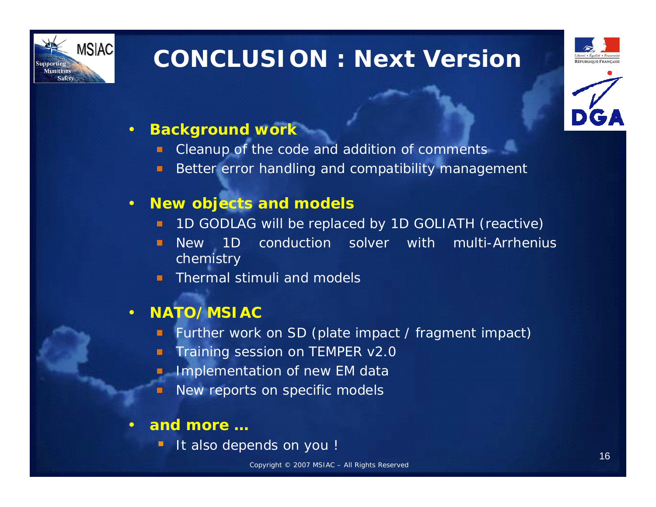

## **CONCLUSION : Next Version**





#### • **Background work**

- Cleanup of the code and addition of comments
- Better error handling and compatibility management  $\blacksquare$

#### • **New objects and models**

- 1D GODLAG will be replaced by 1D GOLIATH (reactive)
- New 1D conduction solver with multi-Arrhenius n chemistry
- Thermal stimuli and models

#### • **NATO/MSIAC**

- Further work on SD (plate impact / fragment impact)  $\blacksquare$
- Training session on TEMPER v2.0 о
- Implementation of new EM data
- New reports on specific models п
- **and more …**
	- It also depends on you !